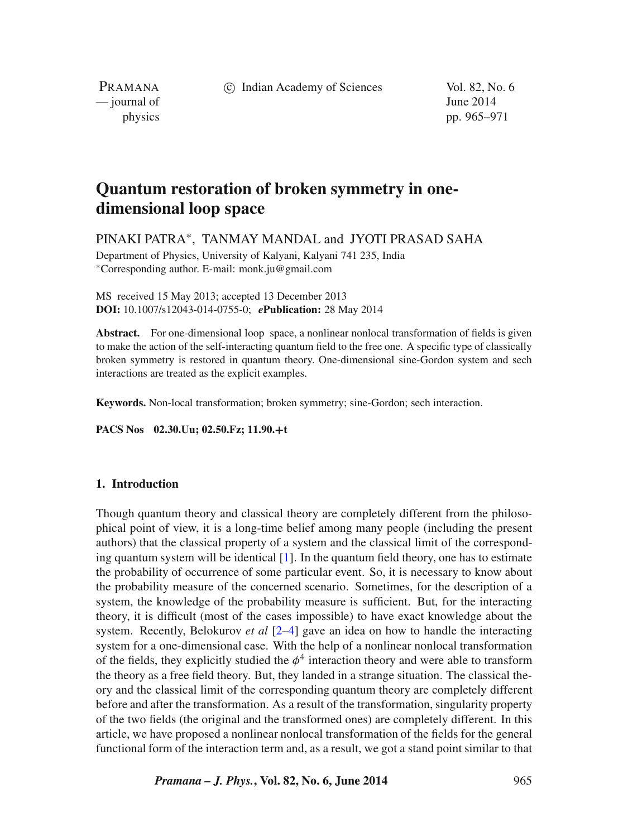c Indian Academy of Sciences Vol. 82, No. 6

PRAMANA  $\frac{1}{2014}$   $\frac{1}{2014}$ 

physics pp. 965–971

# **Quantum restoration of broken symmetry in onedimensional loop space**

PINAKI PATRA∗, TANMAY MANDAL and JYOTI PRASAD SAHA

Department of Physics, University of Kalyani, Kalyani 741 235, India ∗Corresponding author. E-mail: monk.ju@gmail.com

MS received 15 May 2013; accepted 13 December 2013 **DOI:** 10.1007/s12043-014-0755-0; *e***Publication:** 28 May 2014

**Abstract.** For one-dimensional loop space, a nonlinear nonlocal transformation of fields is given to make the action of the self-interacting quantum field to the free one. A specific type of classically broken symmetry is restored in quantum theory. One-dimensional sine-Gordon system and sech interactions are treated as the explicit examples.

**Keywords.** Non-local transformation; broken symmetry; sine-Gordon; sech interaction.

**PACS Nos 02.30.Uu; 02.50.Fz; 11.90.+t**

## **1. Introduction**

Though quantum theory and classical theory are completely different from the philosophical point of view, it is a long-time belief among many people (including the present authors) that the classical property of a system and the classical limit of the corresponding quantum system will be identical [\[1\]](#page-6-0). In the quantum field theory, one has to estimate the probability of occurrence of some particular event. So, it is necessary to know about the probability measure of the concerned scenario. Sometimes, for the description of a system, the knowledge of the probability measure is sufficient. But, for the interacting theory, it is difficult (most of the cases impossible) to have exact knowledge about the system. Recently, Belokurov *et al* [\[2](#page-6-1)[–4\]](#page-6-2) gave an idea on how to handle the interacting system for a one-dimensional case. With the help of a nonlinear nonlocal transformation of the fields, they explicitly studied the  $\phi^4$  interaction theory and were able to transform the theory as a free field theory. But, they landed in a strange situation. The classical theory and the classical limit of the corresponding quantum theory are completely different before and after the transformation. As a result of the transformation, singularity property of the two fields (the original and the transformed ones) are completely different. In this article, we have proposed a nonlinear nonlocal transformation of the fields for the general functional form of the interaction term and, as a result, we got a stand point similar to that

*Pramana – J. Phys.***, Vol. 82, No. 6, June 2014** 965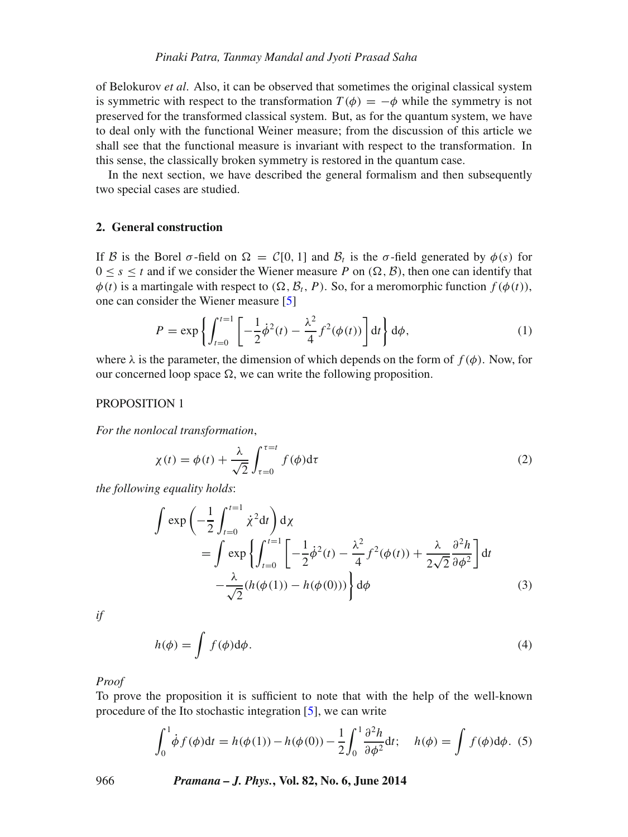of Belokurov *et al*. Also, it can be observed that sometimes the original classical system is symmetric with respect to the transformation  $T(\phi) = -\phi$  while the symmetry is not preserved for the transformed classical system. But, as for the quantum system, we have to deal only with the functional Weiner measure; from the discussion of this article we shall see that the functional measure is invariant with respect to the transformation. In this sense, the classically broken symmetry is restored in the quantum case.

In the next section, we have described the general formalism and then subsequently two special cases are studied.

#### **2. General construction**

If *B* is the Borel  $\sigma$ -field on  $\Omega = C[0, 1]$  and  $\mathcal{B}_t$  is the  $\sigma$ -field generated by  $\phi(s)$  for  $0 \leq s \leq t$  and if we consider the Wiener measure P on  $(\Omega, \mathcal{B})$ , then one can identify that  $\phi(t)$  is a martingale with respect to  $(\Omega, \mathcal{B}_t, P)$ . So, for a meromorphic function  $f(\phi(t))$ , one can consider the Wiener measure [\[5\]](#page-6-3)

$$
P = \exp\left\{ \int_{t=0}^{t=1} \left[ -\frac{1}{2} \dot{\phi}^2(t) - \frac{\lambda^2}{4} f^2(\phi(t)) \right] dt \right\} d\phi, \tag{1}
$$

where  $\lambda$  is the parameter, the dimension of which depends on the form of  $f(\phi)$ . Now, for our concerned loop space  $\Omega$ , we can write the following proposition.

#### PROPOSITION 1

*For the nonlocal transformation*,

<span id="page-1-0"></span>
$$
\chi(t) = \phi(t) + \frac{\lambda}{\sqrt{2}} \int_{\tau=0}^{\tau=t} f(\phi) d\tau
$$
 (2)

*the following equality holds*:

<span id="page-1-1"></span>
$$
\int \exp\left(-\frac{1}{2}\int_{t=0}^{t=1} \dot{\chi}^2 dt\right) d\chi
$$
\n
$$
= \int \exp\left\{\int_{t=0}^{t=1} \left[-\frac{1}{2}\dot{\phi}^2(t) - \frac{\lambda^2}{4}f^2(\phi(t)) + \frac{\lambda}{2\sqrt{2}}\frac{\partial^2 h}{\partial \phi^2}\right] dt - \frac{\lambda}{\sqrt{2}}(h(\phi(1)) - h(\phi(0)))\right\} d\phi
$$
\n(3)

*if*

$$
h(\phi) = \int f(\phi) d\phi.
$$
 (4)

*Proof*

To prove the proposition it is sufficient to note that with the help of the well-known procedure of the Ito stochastic integration [\[5\]](#page-6-3), we can write

$$
\int_0^1 \dot{\phi} f(\phi) dt = h(\phi(1)) - h(\phi(0)) - \frac{1}{2} \int_0^1 \frac{\partial^2 h}{\partial \phi^2} dt; \quad h(\phi) = \int f(\phi) d\phi. \tag{5}
$$

966 *Pramana – J. Phys.***, Vol. 82, No. 6, June 2014**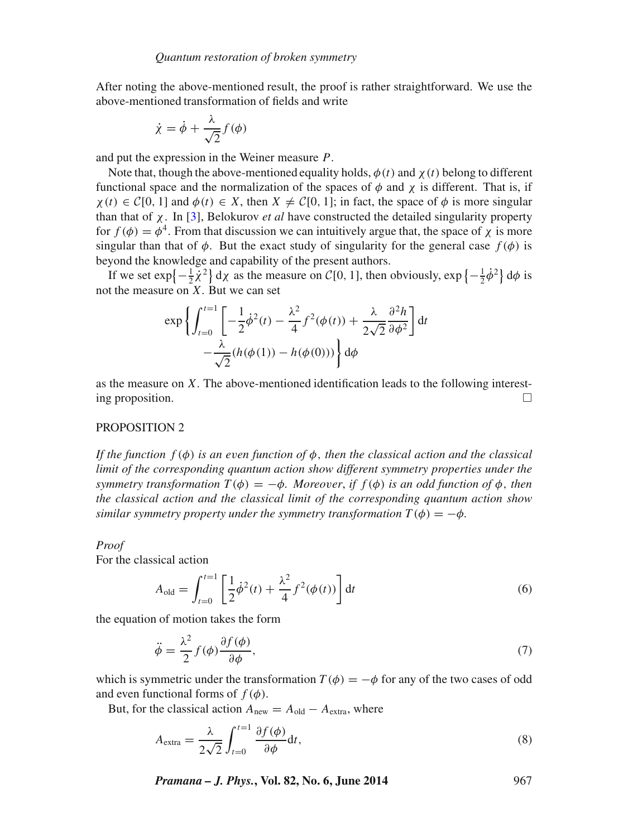After noting the above-mentioned result, the proof is rather straightforward. We use the above-mentioned transformation of fields and write

$$
\dot{\chi} = \dot{\phi} + \frac{\lambda}{\sqrt{2}} f(\phi)
$$

and put the expression in the Weiner measure P.

Note that, though the above-mentioned equality holds,  $\phi(t)$  and  $\chi(t)$  belong to different functional space and the normalization of the spaces of  $\phi$  and  $\chi$  is different. That is, if  $\chi(t) \in C[0, 1]$  and  $\phi(t) \in X$ , then  $X \neq C[0, 1]$ ; in fact, the space of  $\phi$  is more singular than that of χ. In [\[3\]](#page-6-4), Belokurov *et al* have constructed the detailed singularity property for  $f(\phi) = \phi^4$ . From that discussion we can intuitively argue that, the space of  $\chi$  is more singular than that of  $\phi$ . But the exact study of singularity for the general case  $f(\phi)$  is beyond the knowledge and capability of the present authors.

If we set  $\exp\left\{-\frac{1}{2}\dot{\chi}^2\right\} d\chi$  as the measure on  $\mathcal{C}[0, 1]$ , then obviously,  $\exp\left\{-\frac{1}{2}\dot{\phi}^2\right\} d\phi$  is the measure on *X*. But we can set not the measure on  $X$ . But we can set

$$
\exp\left\{\int_{t=0}^{t=1} \left[-\frac{1}{2}\dot{\phi}^2(t) - \frac{\lambda^2}{4}f^2(\phi(t)) + \frac{\lambda}{2\sqrt{2}}\frac{\partial^2 h}{\partial \phi^2}\right]dt - \frac{\lambda}{\sqrt{2}}(h(\phi(1)) - h(\phi(0)))\right\}d\phi
$$

as the measure on X. The above-mentioned identification leads to the following interest-<br>ing proposition. ing proposition.

### PROPOSITION 2

*If the function* f (φ) *is an e*v*en function of* φ, *then the classical action and the classical limit of the corresponding quantum action show different symmetry properties under the symmetry transformation*  $T(\phi) = -\phi$ *. Moreover, if*  $f(\phi)$  *is an odd function of*  $\phi$ *, then the classical action and the classical limit of the corresponding quantum action show similar symmetry property under the symmetry transformation*  $T(\phi) = -\phi$ .

#### *Proof*

For the classical action

<span id="page-2-0"></span>
$$
A_{\text{old}} = \int_{t=0}^{t=1} \left[ \frac{1}{2} \dot{\phi}^2(t) + \frac{\lambda^2}{4} f^2(\phi(t)) \right] dt \tag{6}
$$

the equation of motion takes the form

<span id="page-2-1"></span>
$$
\ddot{\phi} = \frac{\lambda^2}{2} f(\phi) \frac{\partial f(\phi)}{\partial \phi},\tag{7}
$$

which is symmetric under the transformation  $T(\phi) = -\phi$  for any of the two cases of odd and even functional forms of  $f(\phi)$ .

But, for the classical action  $A_{\text{new}} = A_{\text{old}} - A_{\text{extra}}$ , where

$$
A_{\text{extra}} = \frac{\lambda}{2\sqrt{2}} \int_{t=0}^{t=1} \frac{\partial f(\phi)}{\partial \phi} dt,
$$
\n(8)

*Pramana – J. Phys.***, Vol. 82, No. 6, June 2014** 967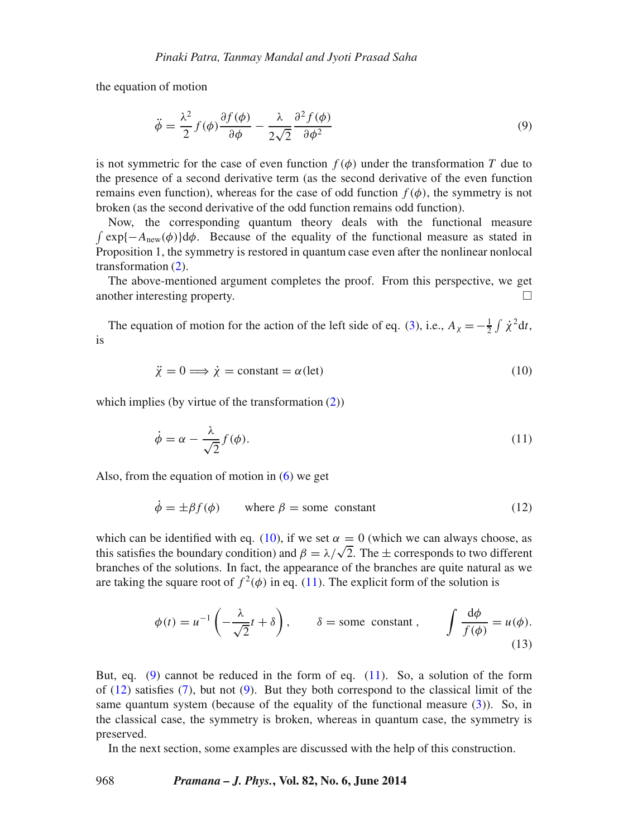the equation of motion

<span id="page-3-2"></span>
$$
\ddot{\phi} = \frac{\lambda^2}{2} f(\phi) \frac{\partial f(\phi)}{\partial \phi} - \frac{\lambda}{2\sqrt{2}} \frac{\partial^2 f(\phi)}{\partial \phi^2}
$$
(9)

is not symmetric for the case of even function  $f(\phi)$  under the transformation T due to the presence of a second derivative term (as the second derivative of the even function remains even function), whereas for the case of odd function  $f(\phi)$ , the symmetry is not broken (as the second derivative of the odd function remains odd function).

Now, the corresponding quantum theory deals with the functional measure  $\int \exp\{-A_{\text{new}}(\phi)\}d\phi$ . Because of the equality of the functional measure as stated in Proposition 1, the symmetry is restored in quantum case even after the nonlinear nonlocal transformation [\(2\)](#page-1-0).

The above-mentioned argument completes the proof. From this perspective, we get other interesting property another interesting property.

<span id="page-3-0"></span>The equation of motion for the action of the left side of eq. [\(3\)](#page-1-1), i.e.,  $A_\chi = -\frac{1}{2} \int \dot{\chi}^2 dt$ , is

<span id="page-3-1"></span>
$$
\ddot{\chi} = 0 \Longrightarrow \dot{\chi} = \text{constant} = \alpha(\text{let}) \tag{10}
$$

which implies (by virtue of the transformation  $(2)$ )

$$
\dot{\phi} = \alpha - \frac{\lambda}{\sqrt{2}} f(\phi). \tag{11}
$$

Also, from the equation of motion in  $(6)$  we get

<span id="page-3-3"></span>
$$
\dot{\phi} = \pm \beta f(\phi) \qquad \text{where } \beta = \text{some constant} \tag{12}
$$

which can be identified with eq. [\(10\)](#page-3-0), if we set  $\alpha = 0$  (which we can always choose, as this satisfies the boundary condition) and  $\beta = \lambda/\sqrt{2}$ . The  $\pm$  corresponds to two different branches of the solutions. In fact, t branches of the solutions. In fact, the appearance of the branches are quite natural as we are taking the square root of  $f^2(\phi)$  in eq. [\(11\)](#page-3-1). The explicit form of the solution is

$$
\phi(t) = u^{-1}\left(-\frac{\lambda}{\sqrt{2}}t + \delta\right), \qquad \delta = \text{some constant}, \qquad \int \frac{d\phi}{f(\phi)} = u(\phi). \tag{13}
$$

But, eq. [\(9\)](#page-3-2) cannot be reduced in the form of eq. [\(11\)](#page-3-1). So, a solution of the form of [\(12\)](#page-3-3) satisfies [\(7\)](#page-2-1), but not [\(9\)](#page-3-2). But they both correspond to the classical limit of the same quantum system (because of the equality of the functional measure  $(3)$ ). So, in the classical case, the symmetry is broken, whereas in quantum case, the symmetry is preserved.

In the next section, some examples are discussed with the help of this construction.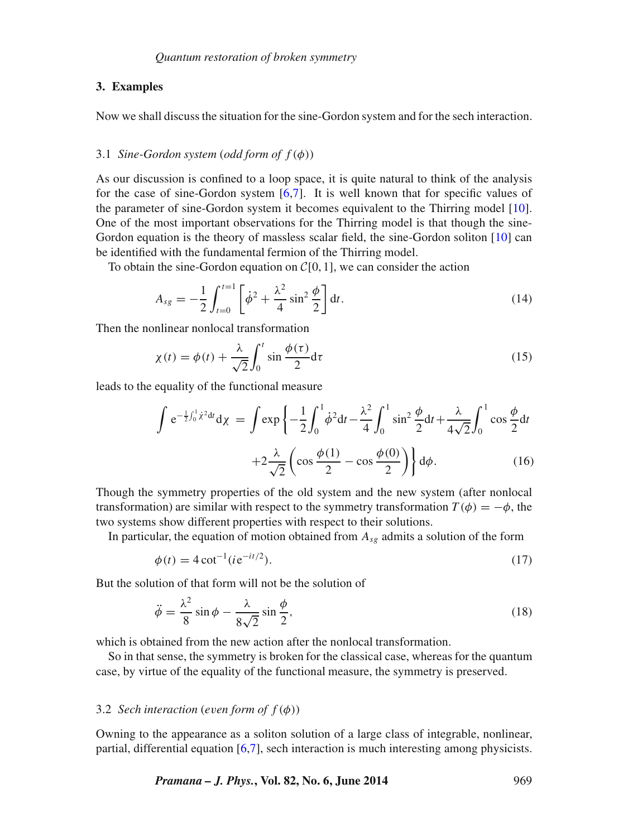#### **3. Examples**

Now we shall discuss the situation for the sine-Gordon system and for the sech interaction.

## 3.1 *Sine-Gordon system* (*odd form of* f(φ))

As our discussion is confined to a loop space, it is quite natural to think of the analysis for the case of sine-Gordon system  $[6,7]$  $[6,7]$ . It is well known that for specific values of the parameter of sine-Gordon system it becomes equivalent to the Thirring model [\[10\]](#page-6-7). One of the most important observations for the Thirring model is that though the sine-Gordon equation is the theory of massless scalar field, the sine-Gordon soliton [\[10\]](#page-6-7) can be identified with the fundamental fermion of the Thirring model.

To obtain the sine-Gordon equation on  $C[0, 1]$ , we can consider the action

$$
A_{sg} = -\frac{1}{2} \int_{t=0}^{t=1} \left[ \dot{\phi}^2 + \frac{\lambda^2}{4} \sin^2 \frac{\phi}{2} \right] dt.
$$
 (14)

Then the nonlinear nonlocal transformation

$$
\chi(t) = \phi(t) + \frac{\lambda}{\sqrt{2}} \int_0^t \sin \frac{\phi(\tau)}{2} d\tau
$$
 (15)

leads to the equality of the functional measure

$$
\int e^{-\frac{1}{2}\int_0^1 \dot{\chi}^2 dt} d\chi = \int \exp\left\{-\frac{1}{2}\int_0^1 \dot{\phi}^2 dt - \frac{\lambda^2}{4}\int_0^1 \sin^2 \frac{\phi}{2} dt + \frac{\lambda}{4\sqrt{2}}\int_0^1 \cos \frac{\phi}{2} dt + 2\frac{\lambda}{\sqrt{2}}\left(\cos \frac{\phi(1)}{2} - \cos \frac{\phi(0)}{2}\right)\right\} d\phi.
$$
 (16)

Though the symmetry properties of the old system and the new system (after nonlocal transformation) are similar with respect to the symmetry transformation  $T(\phi) = -\phi$ , the two systems show different properties with respect to their solutions.

In particular, the equation of motion obtained from  $A_{sg}$  admits a solution of the form

$$
\phi(t) = 4 \cot^{-1} (i e^{-it/2}).
$$
\n(17)

But the solution of that form will not be the solution of

$$
\ddot{\phi} = \frac{\lambda^2}{8} \sin \phi - \frac{\lambda}{8\sqrt{2}} \sin \frac{\phi}{2},\tag{18}
$$

which is obtained from the new action after the nonlocal transformation.

So in that sense, the symmetry is broken for the classical case, whereas for the quantum case, by virtue of the equality of the functional measure, the symmetry is preserved.

#### 3.2 *Sech interaction* (*even form of*  $f(\phi)$ )

Owning to the appearance as a soliton solution of a large class of integrable, nonlinear, partial, differential equation [\[6,](#page-6-5)[7\]](#page-6-6), sech interaction is much interesting among physicists.

*Pramana – J. Phys.***, Vol. 82, No. 6, June 2014** 969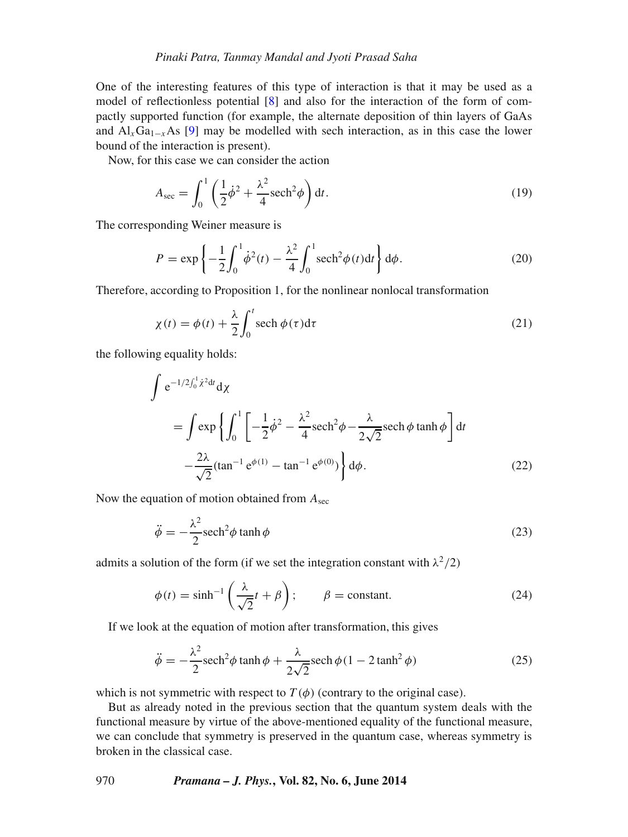#### *Pinaki Patra, Tanmay Mandal and Jyoti Prasad Saha*

One of the interesting features of this type of interaction is that it may be used as a model of reflectionless potential [\[8\]](#page-6-8) and also for the interaction of the form of compactly supported function (for example, the alternate deposition of thin layers of GaAs and  $Al_xGa_{1-x}As$  [\[9\]](#page-6-9) may be modelled with sech interaction, as in this case the lower bound of the interaction is present).

Now, for this case we can consider the action

$$
A_{\rm sec} = \int_0^1 \left(\frac{1}{2}\dot{\phi}^2 + \frac{\lambda^2}{4}\text{sech}^2\phi\right) \mathrm{d}t. \tag{19}
$$

The corresponding Weiner measure is

$$
P = \exp\left\{-\frac{1}{2}\int_0^1 \dot{\phi}^2(t) - \frac{\lambda^2}{4} \int_0^1 \mathrm{sech}^2 \phi(t) \mathrm{d}t \right\} \mathrm{d}\phi. \tag{20}
$$

Therefore, according to Proposition 1, for the nonlinear nonlocal transformation

$$
\chi(t) = \phi(t) + \frac{\lambda}{2} \int_0^t \operatorname{sech} \phi(\tau) d\tau
$$
\n(21)

the following equality holds:

$$
\int e^{-1/2\int_0^1 \dot{\chi}^2 dt} d\chi
$$
\n
$$
= \int \exp\left\{ \int_0^1 \left[ -\frac{1}{2} \dot{\phi}^2 - \frac{\lambda^2}{4} \operatorname{sech}^2 \phi - \frac{\lambda}{2\sqrt{2}} \operatorname{sech} \phi \tanh \phi \right] dt - \frac{2\lambda}{\sqrt{2}} (\tan^{-1} e^{\phi(1)} - \tan^{-1} e^{\phi(0)}) \right\} d\phi.
$$
\n(22)

Now the equation of motion obtained from  $A_{\text{sec}}$ 

$$
\ddot{\phi} = -\frac{\lambda^2}{2} \mathrm{sech}^2 \phi \tanh \phi \tag{23}
$$

admits a solution of the form (if we set the integration constant with  $\lambda^2/2$ )

$$
\phi(t) = \sinh^{-1}\left(\frac{\lambda}{\sqrt{2}}t + \beta\right); \qquad \beta = \text{constant.} \tag{24}
$$

If we look at the equation of motion after transformation, this gives

$$
\ddot{\phi} = -\frac{\lambda^2}{2} \mathrm{sech}^2 \phi \tanh \phi + \frac{\lambda}{2\sqrt{2}} \mathrm{sech} \phi (1 - 2 \tanh^2 \phi) \tag{25}
$$

which is not symmetric with respect to  $T(\phi)$  (contrary to the original case).

But as already noted in the previous section that the quantum system deals with the functional measure by virtue of the above-mentioned equality of the functional measure, we can conclude that symmetry is preserved in the quantum case, whereas symmetry is broken in the classical case.